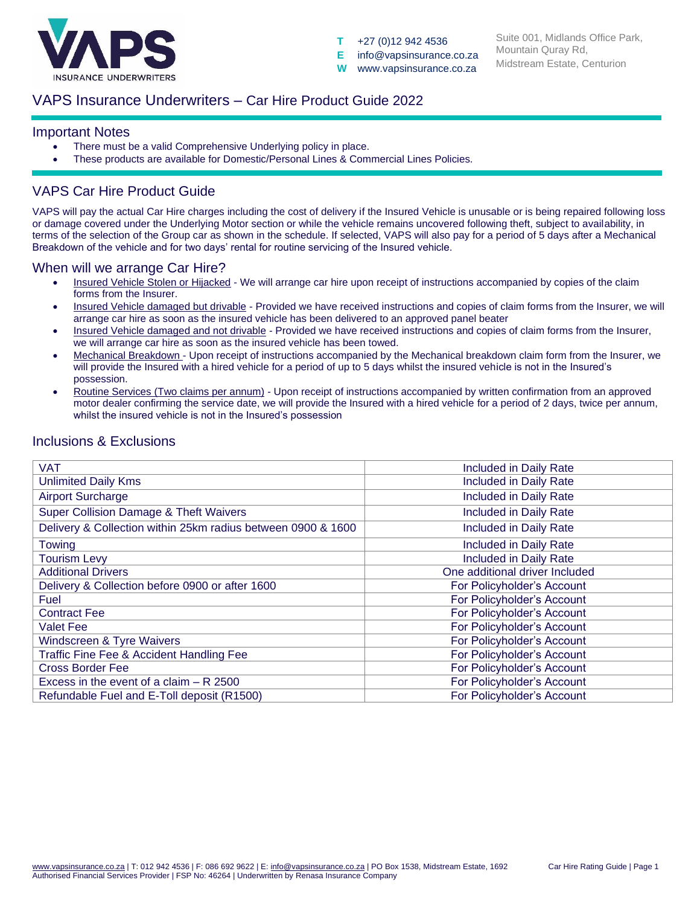

**T** +27 (0)12 942 4536

**E** info@vapsinsurance.co.za **W** www.vapsinsurance.co.za

Suite 001, Midlands Office Park, Mountain Quray Rd, Midstream Estate, Centurion

### VAPS Insurance Underwriters – Car Hire Product Guide 2022

#### Important Notes

- There must be a valid Comprehensive Underlying policy in place.
- These products are available for Domestic/Personal Lines & Commercial Lines Policies.

# VAPS Car Hire Product Guide

VAPS will pay the actual Car Hire charges including the cost of delivery if the Insured Vehicle is unusable or is being repaired following loss or damage covered under the Underlying Motor section or while the vehicle remains uncovered following theft, subject to availability, in terms of the selection of the Group car as shown in the schedule. If selected, VAPS will also pay for a period of 5 days after a Mechanical Breakdown of the vehicle and for two days' rental for routine servicing of the Insured vehicle.

### When will we arrange Car Hire?

- Insured Vehicle Stolen or Hijacked We will arrange car hire upon receipt of instructions accompanied by copies of the claim forms from the Insurer.
- Insured Vehicle damaged but drivable Provided we have received instructions and copies of claim forms from the Insurer, we will arrange car hire as soon as the insured vehicle has been delivered to an approved panel beater
- Insured Vehicle damaged and not drivable Provided we have received instructions and copies of claim forms from the Insurer, we will arrange car hire as soon as the insured vehicle has been towed.
- Mechanical Breakdown Upon receipt of instructions accompanied by the Mechanical breakdown claim form from the Insurer, we will provide the Insured with a hired vehicle for a period of up to 5 days whilst the insured vehicle is not in the Insured's possession.
- Routine Services (Two claims per annum) Upon receipt of instructions accompanied by written confirmation from an approved motor dealer confirming the service date, we will provide the Insured with a hired vehicle for a period of 2 days, twice per annum, whilst the insured vehicle is not in the Insured's possession

| <b>VAT</b>                                                   | Included in Daily Rate         |  |  |  |  |
|--------------------------------------------------------------|--------------------------------|--|--|--|--|
| <b>Unlimited Daily Kms</b>                                   | Included in Daily Rate         |  |  |  |  |
| <b>Airport Surcharge</b>                                     | Included in Daily Rate         |  |  |  |  |
| Super Collision Damage & Theft Waivers                       | Included in Daily Rate         |  |  |  |  |
| Delivery & Collection within 25km radius between 0900 & 1600 | Included in Daily Rate         |  |  |  |  |
| <b>Towing</b>                                                | <b>Included in Daily Rate</b>  |  |  |  |  |
| <b>Tourism Levy</b>                                          | <b>Included in Daily Rate</b>  |  |  |  |  |
| <b>Additional Drivers</b>                                    | One additional driver Included |  |  |  |  |
| Delivery & Collection before 0900 or after 1600              | For Policyholder's Account     |  |  |  |  |
| Fuel                                                         | For Policyholder's Account     |  |  |  |  |
| <b>Contract Fee</b>                                          | For Policyholder's Account     |  |  |  |  |
| <b>Valet Fee</b>                                             | For Policyholder's Account     |  |  |  |  |
| Windscreen & Tyre Waivers                                    | For Policyholder's Account     |  |  |  |  |
| Traffic Fine Fee & Accident Handling Fee                     | For Policyholder's Account     |  |  |  |  |
| <b>Cross Border Fee</b>                                      | For Policyholder's Account     |  |  |  |  |
| Excess in the event of a claim $- R$ 2500                    | For Policyholder's Account     |  |  |  |  |
| Refundable Fuel and E-Toll deposit (R1500)                   | For Policyholder's Account     |  |  |  |  |
|                                                              |                                |  |  |  |  |

### Inclusions & Exclusions